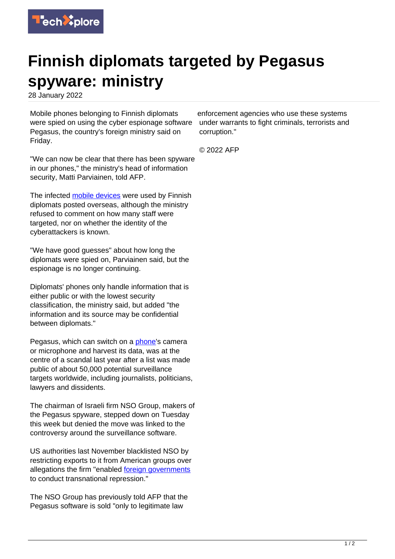

## **Finnish diplomats targeted by Pegasus spyware: ministry**

28 January 2022

Mobile phones belonging to Finnish diplomats were spied on using the cyber espionage software Pegasus, the country's foreign ministry said on Friday.

"We can now be clear that there has been spyware in our phones," the ministry's head of information security, Matti Parviainen, told AFP.

The infected [mobile devices](https://techxplore.com/tags/mobile+devices/) were used by Finnish diplomats posted overseas, although the ministry refused to comment on how many staff were targeted, nor on whether the identity of the cyberattackers is known.

"We have good guesses" about how long the diplomats were spied on, Parviainen said, but the espionage is no longer continuing.

Diplomats' phones only handle information that is either public or with the lowest security classification, the ministry said, but added "the information and its source may be confidential between diplomats."

Pegasus, which can switch on a [phone](https://techxplore.com/tags/phone/)'s camera or microphone and harvest its data, was at the centre of a scandal last year after a list was made public of about 50,000 potential surveillance targets worldwide, including journalists, politicians, lawyers and dissidents.

The chairman of Israeli firm NSO Group, makers of the Pegasus spyware, stepped down on Tuesday this week but denied the move was linked to the controversy around the surveillance software.

US authorities last November blacklisted NSO by restricting exports to it from American groups over allegations the firm "enabled [foreign governments](https://techxplore.com/tags/foreign+governments/) to conduct transnational repression."

The NSO Group has previously told AFP that the Pegasus software is sold "only to legitimate law

enforcement agencies who use these systems under warrants to fight criminals, terrorists and corruption."

© 2022 AFP